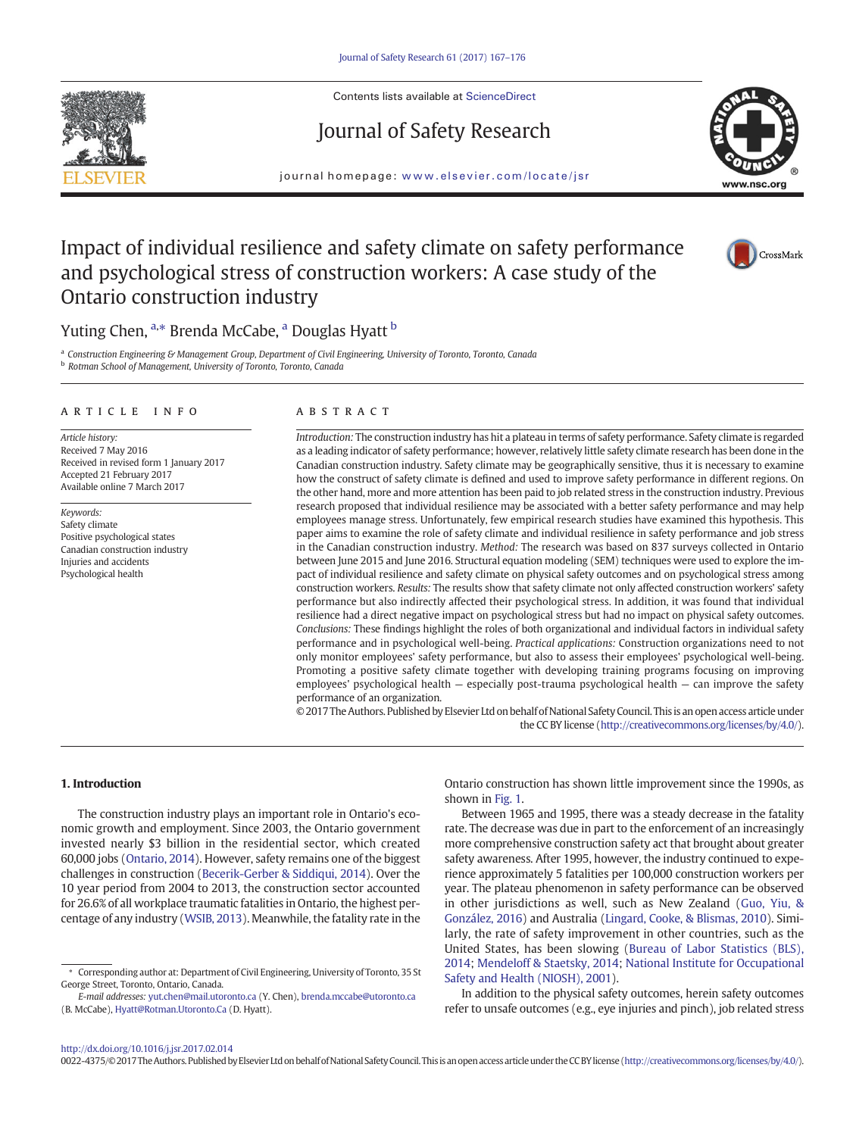<span id="page-0-0"></span>

Contents lists available at ScienceDirect

# Journal of Safety Research



journal homepage: <www.elsevier.com/locate/jsr>

# Impact of individual resilience and safety climate on safety performance and psychological stress of construction workers: A case study of the Ontario construction industry



## Yuting Chen, <sup>a,</sup>\* Brenda McCabe, <sup>a</sup> Douglas Hyatt <sup>b</sup>

<sup>a</sup> Construction Engineering & Management Group, Department of Civil Engineering, University of Toronto, Toronto, Canada **b** Rotman School of Management, University of Toronto, Toronto, Canada

#### article info abstract

Article history: Received 7 May 2016 Received in revised form 1 January 2017 Accepted 21 February 2017 Available online 7 March 2017

Keywords: Safety climate Positive psychological states Canadian construction industry Injuries and accidents Psychological health

Introduction: The construction industry has hit a plateau in terms of safety performance. Safety climate is regarded as a leading indicator of safety performance; however, relatively little safety climate research has been done in the Canadian construction industry. Safety climate may be geographically sensitive, thus it is necessary to examine how the construct of safety climate is defined and used to improve safety performance in different regions. On the other hand, more and more attention has been paid to job related stress in the construction industry. Previous research proposed that individual resilience may be associated with a better safety performance and may help employees manage stress. Unfortunately, few empirical research studies have examined this hypothesis. This paper aims to examine the role of safety climate and individual resilience in safety performance and job stress in the Canadian construction industry. Method: The research was based on 837 surveys collected in Ontario between June 2015 and June 2016. Structural equation modeling (SEM) techniques were used to explore the impact of individual resilience and safety climate on physical safety outcomes and on psychological stress among construction workers. Results: The results show that safety climate not only affected construction workers' safety performance but also indirectly affected their psychological stress. In addition, it was found that individual resilience had a direct negative impact on psychological stress but had no impact on physical safety outcomes. Conclusions: These findings highlight the roles of both organizational and individual factors in individual safety performance and in psychological well-being. Practical applications: Construction organizations need to not only monitor employees' safety performance, but also to assess their employees' psychological well-being. Promoting a positive safety climate together with developing training programs focusing on improving employees' psychological health — especially post-trauma psychological health — can improve the safety performance of an organization.

© 2017 The Authors. Published by Elsevier Ltd on behalf of National Safety Council. Thisis an open access article under the CC BY license [\(http://creativecommons.org/licenses/by/4.0/\)](0opyright_ulicense).

#### 1. Introduction

The construction industry plays an important role in Ontario's economic growth and employment. Since 2003, the Ontario government invested nearly \$3 billion in the residential sector, which created 60,000 jobs [\(Ontario, 2014\)](#page-8-0). However, safety remains one of the biggest challenges in construction [\(Becerik-Gerber & Siddiqui, 2014](#page-8-0)). Over the 10 year period from 2004 to 2013, the construction sector accounted for 26.6% of all workplace traumatic fatalities in Ontario, the highest percentage of any industry ([WSIB, 2013](#page-8-0)). Meanwhile, the fatality rate in the

Ontario construction has shown little improvement since the 1990s, as shown in [Fig. 1](#page-1-0).

Between 1965 and 1995, there was a steady decrease in the fatality rate. The decrease was due in part to the enforcement of an increasingly more comprehensive construction safety act that brought about greater safety awareness. After 1995, however, the industry continued to experience approximately 5 fatalities per 100,000 construction workers per year. The plateau phenomenon in safety performance can be observed in other jurisdictions as well, such as New Zealand ([Guo, Yiu, &](#page-8-0) [González, 2016\)](#page-8-0) and Australia ([Lingard, Cooke, & Blismas, 2010](#page-8-0)). Similarly, the rate of safety improvement in other countries, such as the United States, has been slowing [\(Bureau of Labor Statistics \(BLS\),](#page-8-0) [2014;](#page-8-0) [Mendeloff & Staetsky, 2014](#page-8-0); [National Institute for Occupational](#page-8-0) [Safety and Health \(NIOSH\), 2001](#page-8-0)).

In addition to the physical safety outcomes, herein safety outcomes refer to unsafe outcomes (e.g., eye injuries and pinch), job related stress

<sup>⁎</sup> Corresponding author at: Department of Civil Engineering, University of Toronto, 35 St George Street, Toronto, Ontario, Canada.

E-mail addresses: yut.chen@mail.utoronto.ca (Y. Chen), brenda.mccabe@utoronto.ca (B. McCabe), [Hyatt@Rotman.Utoronto.Ca](mailto:Hyatt@Rotman.Utoronto.Ca) (D. Hyatt).

<sup>0022-4375/© 2017</sup> The Authors. Published by Elsevier Ltd on behalf of National Safety Council. This is an open access article under the CC BY license [\(http://creativecommons.org/licenses/by/4.0/\)](0opyright_ulicense).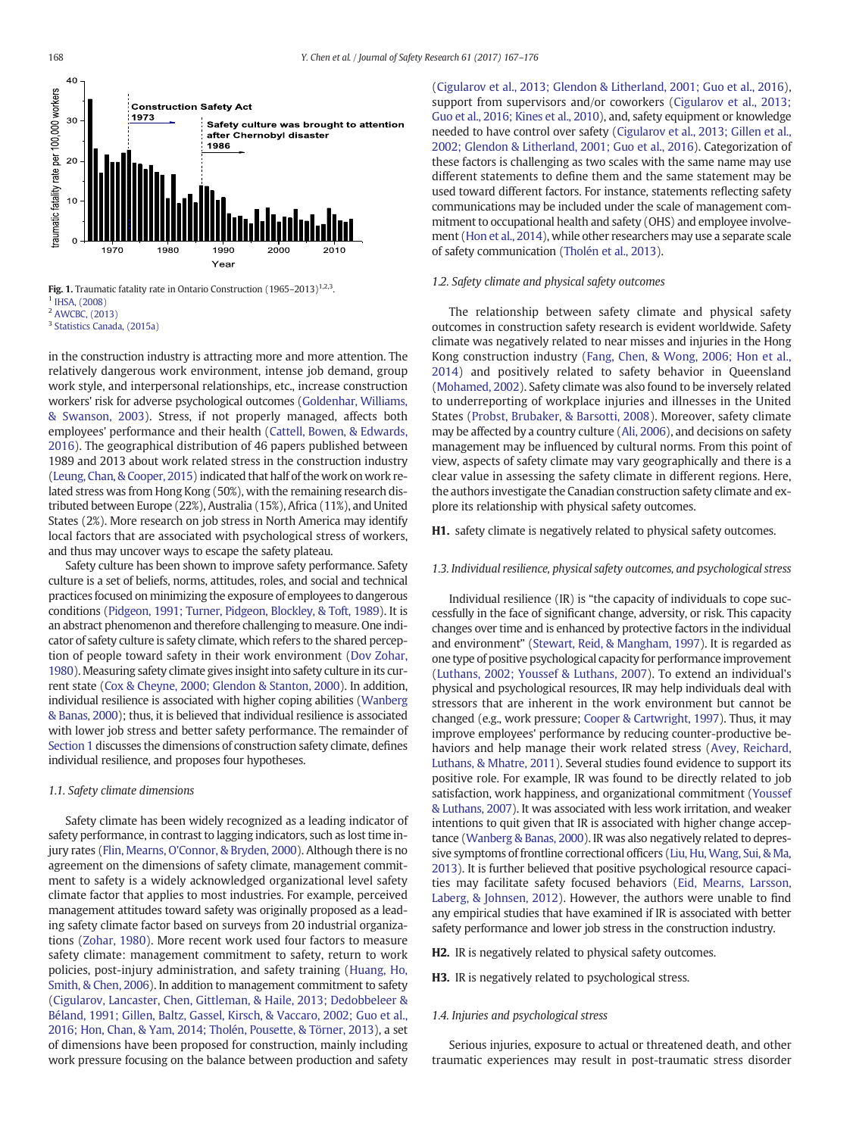<span id="page-1-0"></span>

Fig. 1. Traumatic fatality rate in Ontario Construction (1965–2013)<sup>1,2,3</sup>. <sup>1</sup> [IHSA, \(2008\)](#page-8-0)

<sup>2</sup> [AWCBC, \(2013\)](#page-9-0)

<sup>3</sup> [Statistics Canada, \(2015a\)](#page-9-0)

in the construction industry is attracting more and more attention. The relatively dangerous work environment, intense job demand, group work style, and interpersonal relationships, etc., increase construction workers' risk for adverse psychological outcomes [\(Goldenhar, Williams,](#page-8-0) [& Swanson, 2003\)](#page-8-0). Stress, if not properly managed, affects both employees' performance and their health [\(Cattell, Bowen, & Edwards,](#page-8-0) [2016\)](#page-8-0). The geographical distribution of 46 papers published between 1989 and 2013 about work related stress in the construction industry [\(Leung, Chan, & Cooper, 2015\)](#page-8-0) indicated that half of the work on work related stress was from Hong Kong (50%), with the remaining research distributed between Europe (22%), Australia (15%), Africa (11%), and United States (2%). More research on job stress in North America may identify local factors that are associated with psychological stress of workers, and thus may uncover ways to escape the safety plateau.

Safety culture has been shown to improve safety performance. Safety culture is a set of beliefs, norms, attitudes, roles, and social and technical practices focused on minimizing the exposure of employees to dangerous conditions ([Pidgeon, 1991; Turner, Pidgeon, Blockley, & Toft, 1989\)](#page-8-0). It is an abstract phenomenon and therefore challenging to measure. One indicator of safety culture is safety climate, which refers to the shared perception of people toward safety in their work environment [\(Dov Zohar,](#page-9-0) [1980](#page-9-0)). Measuring safety climate gives insight into safety culture in its current state [\(Cox & Cheyne, 2000; Glendon & Stanton, 2000](#page-8-0)). In addition, individual resilience is associated with higher coping abilities [\(Wanberg](#page-9-0) [& Banas, 2000](#page-9-0)); thus, it is believed that individual resilience is associated with lower job stress and better safety performance. The remainder of [Section 1](#page-0-0) discusses the dimensions of construction safety climate, defines individual resilience, and proposes four hypotheses.

#### 1.1. Safety climate dimensions

Safety climate has been widely recognized as a leading indicator of safety performance, in contrast to lagging indicators, such as lost time injury rates ([Flin, Mearns, O'Connor, & Bryden, 2000](#page-8-0)). Although there is no agreement on the dimensions of safety climate, management commitment to safety is a widely acknowledged organizational level safety climate factor that applies to most industries. For example, perceived management attitudes toward safety was originally proposed as a leading safety climate factor based on surveys from 20 industrial organizations ([Zohar, 1980\)](#page-9-0). More recent work used four factors to measure safety climate: management commitment to safety, return to work policies, post-injury administration, and safety training [\(Huang, Ho,](#page-8-0) [Smith, & Chen, 2006](#page-8-0)). In addition to management commitment to safety [\(Cigularov, Lancaster, Chen, Gittleman, & Haile, 2013; Dedobbeleer &](#page-8-0) [Béland, 1991; Gillen, Baltz, Gassel, Kirsch, & Vaccaro, 2002; Guo et al.,](#page-8-0) [2016; Hon, Chan, & Yam, 2014; Tholén, Pousette, & Törner, 2013](#page-8-0)), a set of dimensions have been proposed for construction, mainly including work pressure focusing on the balance between production and safety [\(Cigularov et al., 2013; Glendon & Litherland, 2001; Guo et al., 2016](#page-8-0)), support from supervisors and/or coworkers ([Cigularov et al., 2013;](#page-8-0) [Guo et al., 2016; Kines et al., 2010](#page-8-0)), and, safety equipment or knowledge needed to have control over safety [\(Cigularov et al., 2013; Gillen et al.,](#page-8-0) [2002; Glendon & Litherland, 2001; Guo et al., 2016](#page-8-0)). Categorization of these factors is challenging as two scales with the same name may use different statements to define them and the same statement may be used toward different factors. For instance, statements reflecting safety communications may be included under the scale of management commitment to occupational health and safety (OHS) and employee involvement [\(Hon et al., 2014\)](#page-8-0), while other researchers may use a separate scale of safety communication [\(Tholén et al., 2013](#page-9-0)).

#### 1.2. Safety climate and physical safety outcomes

The relationship between safety climate and physical safety outcomes in construction safety research is evident worldwide. Safety climate was negatively related to near misses and injuries in the Hong Kong construction industry ([Fang, Chen, & Wong, 2006; Hon et al.,](#page-8-0) [2014](#page-8-0)) and positively related to safety behavior in Queensland [\(Mohamed, 2002\)](#page-8-0). Safety climate was also found to be inversely related to underreporting of workplace injuries and illnesses in the United States ([Probst, Brubaker, & Barsotti, 2008\)](#page-8-0). Moreover, safety climate may be affected by a country culture [\(Ali, 2006\)](#page-8-0), and decisions on safety management may be influenced by cultural norms. From this point of view, aspects of safety climate may vary geographically and there is a clear value in assessing the safety climate in different regions. Here, the authors investigate the Canadian construction safety climate and explore its relationship with physical safety outcomes.

H1. safety climate is negatively related to physical safety outcomes.

#### 1.3. Individual resilience, physical safety outcomes, and psychological stress

Individual resilience (IR) is "the capacity of individuals to cope successfully in the face of significant change, adversity, or risk. This capacity changes over time and is enhanced by protective factors in the individual and environment" [\(Stewart, Reid, & Mangham, 1997\)](#page-9-0). It is regarded as one type of positive psychological capacity for performance improvement [\(Luthans, 2002; Youssef & Luthans, 2007\)](#page-8-0). To extend an individual's physical and psychological resources, IR may help individuals deal with stressors that are inherent in the work environment but cannot be changed (e.g., work pressure; [Cooper & Cartwright, 1997](#page-8-0)). Thus, it may improve employees' performance by reducing counter-productive behaviors and help manage their work related stress [\(Avey, Reichard,](#page-8-0) [Luthans, & Mhatre, 2011\)](#page-8-0). Several studies found evidence to support its positive role. For example, IR was found to be directly related to job satisfaction, work happiness, and organizational commitment ([Youssef](#page-9-0) [& Luthans, 2007\)](#page-9-0). It was associated with less work irritation, and weaker intentions to quit given that IR is associated with higher change acceptance ([Wanberg & Banas, 2000\)](#page-9-0). IR was also negatively related to depressive symptoms of frontline correctional officers [\(Liu, Hu, Wang, Sui, & Ma,](#page-8-0) [2013](#page-8-0)). It is further believed that positive psychological resource capacities may facilitate safety focused behaviors [\(Eid, Mearns, Larsson,](#page-8-0) [Laberg, & Johnsen, 2012\)](#page-8-0). However, the authors were unable to find any empirical studies that have examined if IR is associated with better safety performance and lower job stress in the construction industry.

**H2.** IR is negatively related to physical safety outcomes.

H3. IR is negatively related to psychological stress.

#### 1.4. Injuries and psychological stress

Serious injuries, exposure to actual or threatened death, and other traumatic experiences may result in post-traumatic stress disorder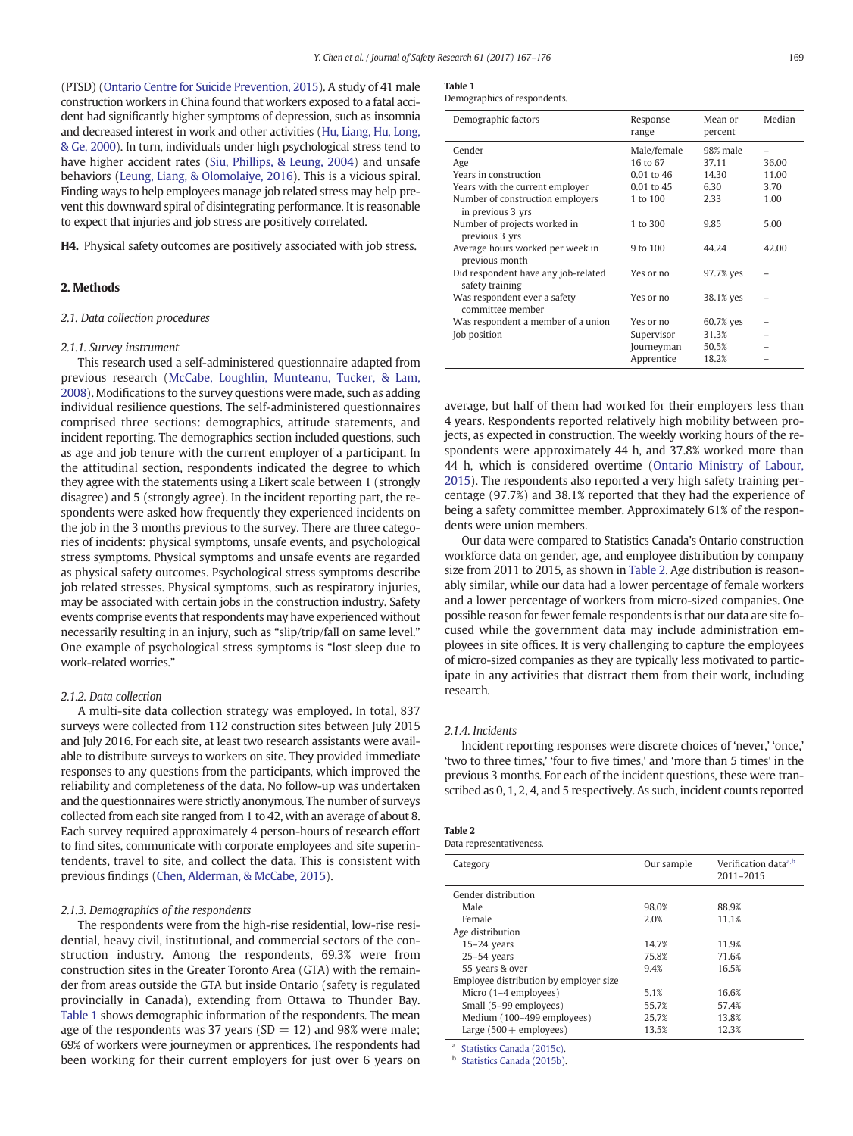(PTSD) [\(Ontario Centre for Suicide Prevention, 2015](#page-8-0)). A study of 41 male construction workers in China found that workers exposed to a fatal accident had significantly higher symptoms of depression, such as insomnia and decreased interest in work and other activities ([Hu, Liang, Hu, Long,](#page-8-0) [& Ge, 2000\)](#page-8-0). In turn, individuals under high psychological stress tend to have higher accident rates ([Siu, Phillips, & Leung, 2004\)](#page-9-0) and unsafe behaviors ([Leung, Liang, & Olomolaiye, 2016](#page-8-0)). This is a vicious spiral. Finding ways to help employees manage job related stress may help prevent this downward spiral of disintegrating performance. It is reasonable to expect that injuries and job stress are positively correlated.

H4. Physical safety outcomes are positively associated with job stress.

#### 2. Methods

#### 2.1. Data collection procedures

#### 2.1.1. Survey instrument

This research used a self-administered questionnaire adapted from previous research ([McCabe, Loughlin, Munteanu, Tucker, & Lam,](#page-8-0) [2008](#page-8-0)). Modifications to the survey questions were made, such as adding individual resilience questions. The self-administered questionnaires comprised three sections: demographics, attitude statements, and incident reporting. The demographics section included questions, such as age and job tenure with the current employer of a participant. In the attitudinal section, respondents indicated the degree to which they agree with the statements using a Likert scale between 1 (strongly disagree) and 5 (strongly agree). In the incident reporting part, the respondents were asked how frequently they experienced incidents on the job in the 3 months previous to the survey. There are three categories of incidents: physical symptoms, unsafe events, and psychological stress symptoms. Physical symptoms and unsafe events are regarded as physical safety outcomes. Psychological stress symptoms describe job related stresses. Physical symptoms, such as respiratory injuries, may be associated with certain jobs in the construction industry. Safety events comprise events that respondents may have experienced without necessarily resulting in an injury, such as "slip/trip/fall on same level." One example of psychological stress symptoms is "lost sleep due to work-related worries."

#### 2.1.2. Data collection

A multi-site data collection strategy was employed. In total, 837 surveys were collected from 112 construction sites between July 2015 and July 2016. For each site, at least two research assistants were available to distribute surveys to workers on site. They provided immediate responses to any questions from the participants, which improved the reliability and completeness of the data. No follow-up was undertaken and the questionnaires were strictly anonymous. The number of surveys collected from each site ranged from 1 to 42, with an average of about 8. Each survey required approximately 4 person-hours of research effort to find sites, communicate with corporate employees and site superintendents, travel to site, and collect the data. This is consistent with previous findings [\(Chen, Alderman, & McCabe, 2015](#page-8-0)).

#### 2.1.3. Demographics of the respondents

The respondents were from the high-rise residential, low-rise residential, heavy civil, institutional, and commercial sectors of the construction industry. Among the respondents, 69.3% were from construction sites in the Greater Toronto Area (GTA) with the remainder from areas outside the GTA but inside Ontario (safety is regulated provincially in Canada), extending from Ottawa to Thunder Bay. Table 1 shows demographic information of the respondents. The mean age of the respondents was 37 years ( $SD = 12$ ) and 98% were male; 69% of workers were journeymen or apprentices. The respondents had been working for their current employers for just over 6 years on

#### Table 1

Demographics of respondents.

| Demographic factors                                    | Response<br>range | Mean or<br>percent | Median |
|--------------------------------------------------------|-------------------|--------------------|--------|
| Gender                                                 | Male/female       | 98% male           |        |
| Age                                                    | 16 to 67          | 37.11              | 36.00  |
| Years in construction                                  | 0.01 to 46        | 14.30              | 11.00  |
| Years with the current employer                        | 0.01 to 45        | 6.30               | 3.70   |
| Number of construction employers<br>in previous 3 yrs  | 1 to 100          | 2.33               | 1.00   |
| Number of projects worked in<br>previous 3 yrs         | 1 to 300          | 9.85               | 5.00   |
| Average hours worked per week in<br>previous month     | 9 to 100          | 44.24              | 42.00  |
| Did respondent have any job-related<br>safety training | Yes or no         | 97.7% yes          |        |
| Was respondent ever a safety<br>committee member       | Yes or no         | 38.1% yes          |        |
| Was respondent a member of a union                     | Yes or no         | 60.7% yes          |        |
| Job position                                           | Supervisor        | 31.3%              |        |
|                                                        | Journeyman        | 50.5%              |        |
|                                                        | Apprentice        | 18.2%              |        |

average, but half of them had worked for their employers less than 4 years. Respondents reported relatively high mobility between projects, as expected in construction. The weekly working hours of the respondents were approximately 44 h, and 37.8% worked more than 44 h, which is considered overtime [\(Ontario Ministry of Labour,](#page-8-0) [2015\)](#page-8-0). The respondents also reported a very high safety training percentage (97.7%) and 38.1% reported that they had the experience of being a safety committee member. Approximately 61% of the respondents were union members.

Our data were compared to Statistics Canada's Ontario construction workforce data on gender, age, and employee distribution by company size from 2011 to 2015, as shown in Table 2. Age distribution is reasonably similar, while our data had a lower percentage of female workers and a lower percentage of workers from micro-sized companies. One possible reason for fewer female respondents is that our data are site focused while the government data may include administration employees in site offices. It is very challenging to capture the employees of micro-sized companies as they are typically less motivated to participate in any activities that distract them from their work, including research.

#### 2.1.4. Incidents

Incident reporting responses were discrete choices of 'never,' 'once,' 'two to three times,' 'four to five times,' and 'more than 5 times' in the previous 3 months. For each of the incident questions, these were transcribed as 0, 1, 2, 4, and 5 respectively. As such, incident counts reported

| <b>Table 2</b>           |
|--------------------------|
| Data representativeness. |

| Category                               | Our sample | Verification data <sup>a,b</sup><br>2011-2015 |
|----------------------------------------|------------|-----------------------------------------------|
| Gender distribution                    |            |                                               |
| Male                                   | 98.0%      | 88.9%                                         |
| Female                                 | 2.0%       | 11.1%                                         |
| Age distribution                       |            |                                               |
| $15-24$ years                          | 14.7%      | 11.9%                                         |
| $25-54$ years                          | 75.8%      | 71.6%                                         |
| 55 years & over                        | 9.4%       | 16.5%                                         |
| Employee distribution by employer size |            |                                               |
| Micro (1–4 employees)                  | 5.1%       | 16.6%                                         |
| Small (5-99 employees)                 | 55.7%      | 57.4%                                         |
| Medium (100-499 employees)             | 25.7%      | 13.8%                                         |
| Large $(500 +$ employees)              | 13.5%      | 12.3%                                         |

<sup>a</sup> [Statistics Canada \(2015c\).](#page-9-0)

[Statistics Canada \(2015b\).](#page-9-0)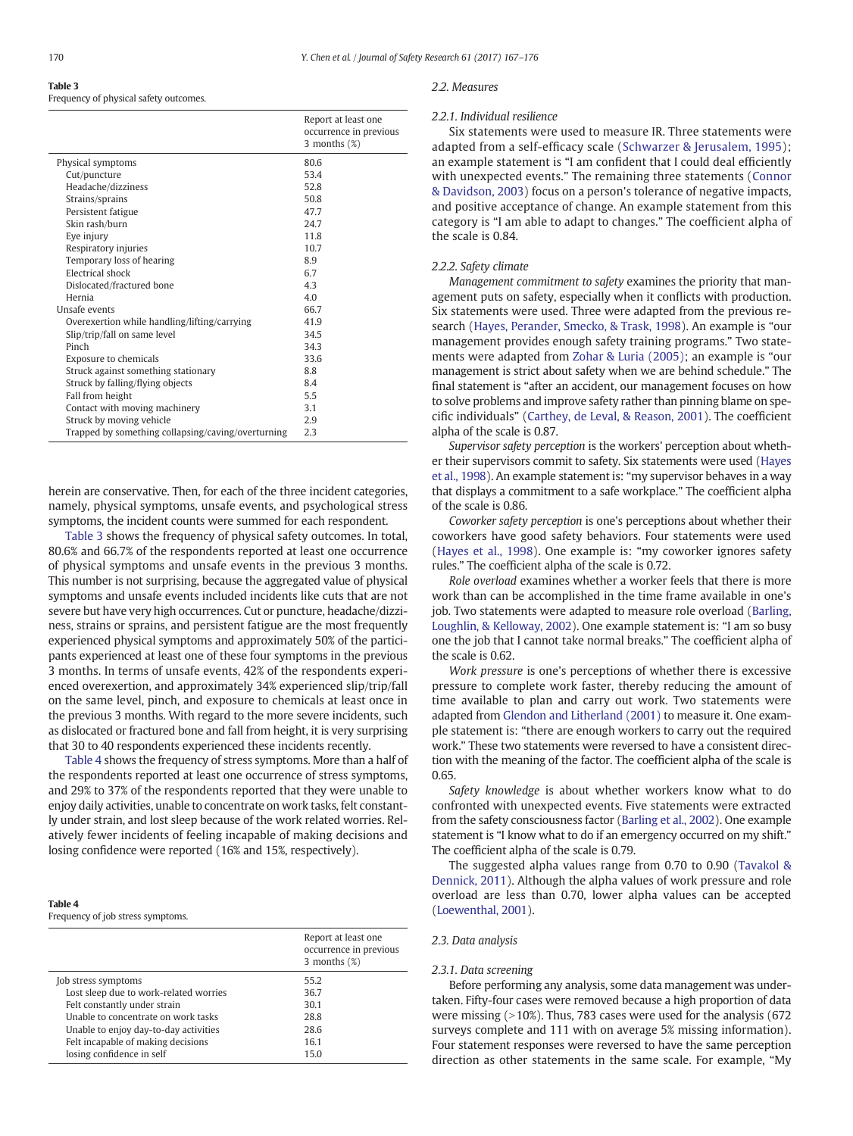### Table 3

Frequency of physical safety outcomes.

|                                                    | Report at least one<br>occurrence in previous<br>3 months $(\%)$ |
|----------------------------------------------------|------------------------------------------------------------------|
| Physical symptoms                                  | 80.6                                                             |
| Cut/puncture                                       | 53.4                                                             |
| Headache/dizziness                                 | 52.8                                                             |
| Strains/sprains                                    | 50.8                                                             |
| Persistent fatigue                                 | 47.7                                                             |
| Skin rash/burn                                     | 24.7                                                             |
| Eye injury                                         | 11.8                                                             |
| Respiratory injuries                               | 10.7                                                             |
| Temporary loss of hearing                          | 8.9                                                              |
| Electrical shock                                   | 6.7                                                              |
| Dislocated/fractured bone                          | 4.3                                                              |
| Hernia                                             | 4.0                                                              |
| Unsafe events                                      | 66.7                                                             |
| Overexertion while handling/lifting/carrying       | 41.9                                                             |
| Slip/trip/fall on same level                       | 34.5                                                             |
| Pinch                                              | 34.3                                                             |
| <b>Exposure to chemicals</b>                       | 33.6                                                             |
| Struck against something stationary                | 8.8                                                              |
| Struck by falling/flying objects                   | 8.4                                                              |
| Fall from height                                   | 5.5                                                              |
| Contact with moving machinery                      | 3.1                                                              |
| Struck by moving vehicle                           | 2.9                                                              |
| Trapped by something collapsing/caving/overturning | 2.3                                                              |

herein are conservative. Then, for each of the three incident categories, namely, physical symptoms, unsafe events, and psychological stress symptoms, the incident counts were summed for each respondent.

Table 3 shows the frequency of physical safety outcomes. In total, 80.6% and 66.7% of the respondents reported at least one occurrence of physical symptoms and unsafe events in the previous 3 months. This number is not surprising, because the aggregated value of physical symptoms and unsafe events included incidents like cuts that are not severe but have very high occurrences. Cut or puncture, headache/dizziness, strains or sprains, and persistent fatigue are the most frequently experienced physical symptoms and approximately 50% of the participants experienced at least one of these four symptoms in the previous 3 months. In terms of unsafe events, 42% of the respondents experienced overexertion, and approximately 34% experienced slip/trip/fall on the same level, pinch, and exposure to chemicals at least once in the previous 3 months. With regard to the more severe incidents, such as dislocated or fractured bone and fall from height, it is very surprising that 30 to 40 respondents experienced these incidents recently.

Table 4 shows the frequency of stress symptoms. More than a half of the respondents reported at least one occurrence of stress symptoms, and 29% to 37% of the respondents reported that they were unable to enjoy daily activities, unable to concentrate on work tasks, felt constantly under strain, and lost sleep because of the work related worries. Relatively fewer incidents of feeling incapable of making decisions and losing confidence were reported (16% and 15%, respectively).

#### Table 4

Frequency of job stress symptoms.

|                                        | Report at least one<br>occurrence in previous<br>3 months $(\%)$ |
|----------------------------------------|------------------------------------------------------------------|
| Job stress symptoms                    | 55.2                                                             |
| Lost sleep due to work-related worries | 36.7                                                             |
| Felt constantly under strain           | 30.1                                                             |
| Unable to concentrate on work tasks    | 28.8                                                             |
| Unable to enjoy day-to-day activities  | 28.6                                                             |
| Felt incapable of making decisions     | 16.1                                                             |
| losing confidence in self              | 15.0                                                             |

#### 2.2. Measures

#### 2.2.1. Individual resilience

Six statements were used to measure IR. Three statements were adapted from a self-efficacy scale ([Schwarzer & Jerusalem, 1995](#page-8-0)); an example statement is "I am confident that I could deal efficiently with unexpected events." The remaining three statements ([Connor](#page-8-0) [& Davidson, 2003\)](#page-8-0) focus on a person's tolerance of negative impacts, and positive acceptance of change. An example statement from this category is "I am able to adapt to changes." The coefficient alpha of the scale is 0.84.

#### 2.2.2. Safety climate

Management commitment to safety examines the priority that management puts on safety, especially when it conflicts with production. Six statements were used. Three were adapted from the previous research ([Hayes, Perander, Smecko, & Trask, 1998\)](#page-8-0). An example is "our management provides enough safety training programs." Two statements were adapted from [Zohar & Luria \(2005\)](#page-9-0); an example is "our management is strict about safety when we are behind schedule." The final statement is "after an accident, our management focuses on how to solve problems and improve safety rather than pinning blame on specific individuals" ([Carthey, de Leval, & Reason, 2001](#page-8-0)). The coefficient alpha of the scale is 0.87.

Supervisor safety perception is the workers' perception about whether their supervisors commit to safety. Six statements were used [\(Hayes](#page-8-0) [et al., 1998\)](#page-8-0). An example statement is: "my supervisor behaves in a way that displays a commitment to a safe workplace." The coefficient alpha of the scale is 0.86.

Coworker safety perception is one's perceptions about whether their coworkers have good safety behaviors. Four statements were used [\(Hayes et al., 1998](#page-8-0)). One example is: "my coworker ignores safety rules." The coefficient alpha of the scale is 0.72.

Role overload examines whether a worker feels that there is more work than can be accomplished in the time frame available in one's job. Two statements were adapted to measure role overload [\(Barling,](#page-8-0) [Loughlin, & Kelloway, 2002](#page-8-0)). One example statement is: "I am so busy one the job that I cannot take normal breaks." The coefficient alpha of the scale is 0.62.

Work pressure is one's perceptions of whether there is excessive pressure to complete work faster, thereby reducing the amount of time available to plan and carry out work. Two statements were adapted from [Glendon and Litherland \(2001\)](#page-8-0) to measure it. One example statement is: "there are enough workers to carry out the required work." These two statements were reversed to have a consistent direction with the meaning of the factor. The coefficient alpha of the scale is 0.65.

Safety knowledge is about whether workers know what to do confronted with unexpected events. Five statements were extracted from the safety consciousness factor [\(Barling et al., 2002](#page-8-0)). One example statement is "I know what to do if an emergency occurred on my shift." The coefficient alpha of the scale is 0.79.

The suggested alpha values range from 0.70 to 0.90 ([Tavakol &](#page-9-0) [Dennick, 2011\)](#page-9-0). Although the alpha values of work pressure and role overload are less than 0.70, lower alpha values can be accepted [\(Loewenthal, 2001](#page-8-0)).

#### 2.3. Data analysis

#### 2.3.1. Data screening

Before performing any analysis, some data management was undertaken. Fifty-four cases were removed because a high proportion of data were missing  $(>10%)$ . Thus, 783 cases were used for the analysis (672) surveys complete and 111 with on average 5% missing information). Four statement responses were reversed to have the same perception direction as other statements in the same scale. For example, "My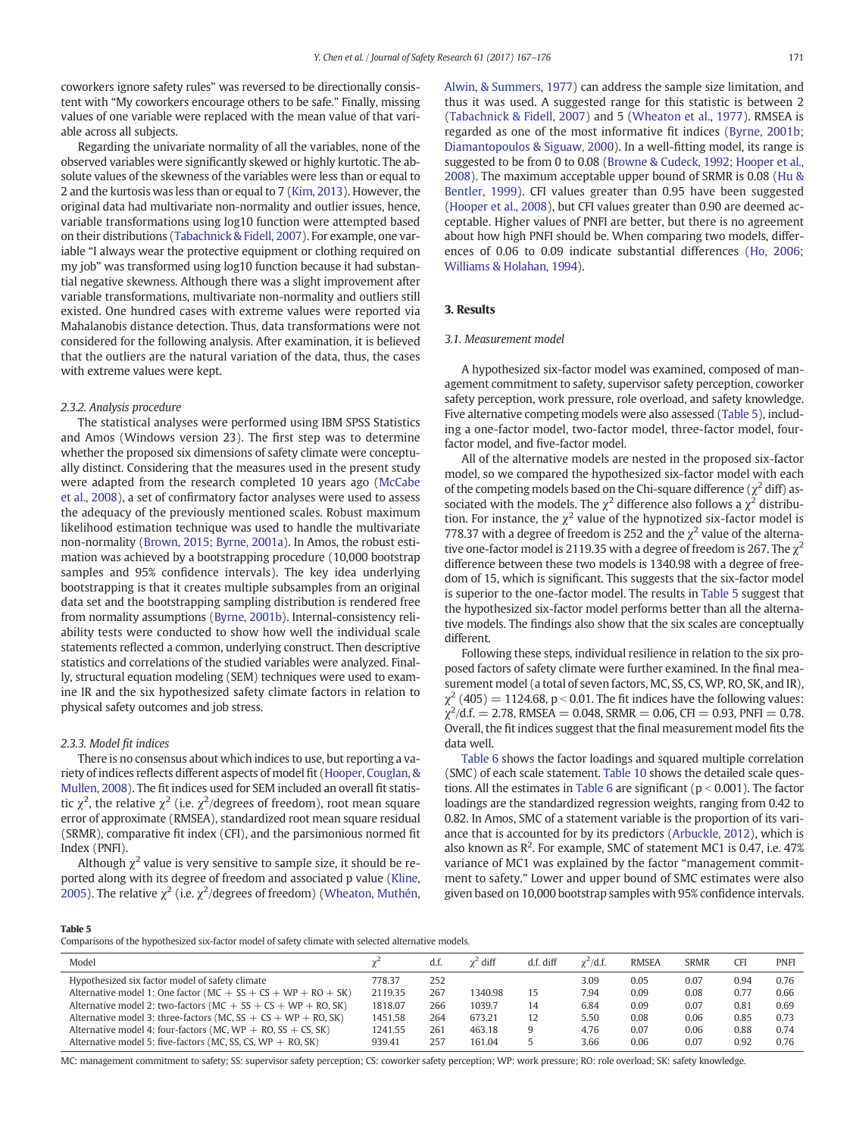coworkers ignore safety rules" was reversed to be directionally consistent with "My coworkers encourage others to be safe." Finally, missing values of one variable were replaced with the mean value of that variable across all subjects.

Regarding the univariate normality of all the variables, none of the observed variables were significantly skewed or highly kurtotic. The absolute values of the skewness of the variables were less than or equal to 2 and the kurtosis was less than or equal to 7 ([Kim, 2013](#page-8-0)). However, the original data had multivariate non-normality and outlier issues, hence, variable transformations using log10 function were attempted based on their distributions ([Tabachnick & Fidell, 2007\)](#page-9-0). For example, one variable "I always wear the protective equipment or clothing required on my job" was transformed using log10 function because it had substantial negative skewness. Although there was a slight improvement after variable transformations, multivariate non-normality and outliers still existed. One hundred cases with extreme values were reported via Mahalanobis distance detection. Thus, data transformations were not considered for the following analysis. After examination, it is believed that the outliers are the natural variation of the data, thus, the cases with extreme values were kept.

#### 2.3.2. Analysis procedure

The statistical analyses were performed using IBM SPSS Statistics and Amos (Windows version 23). The first step was to determine whether the proposed six dimensions of safety climate were conceptually distinct. Considering that the measures used in the present study were adapted from the research completed 10 years ago ([McCabe](#page-8-0) [et al., 2008\)](#page-8-0), a set of confirmatory factor analyses were used to assess the adequacy of the previously mentioned scales. Robust maximum likelihood estimation technique was used to handle the multivariate non-normality [\(Brown, 2015; Byrne, 2001a\)](#page-8-0). In Amos, the robust estimation was achieved by a bootstrapping procedure (10,000 bootstrap samples and 95% confidence intervals). The key idea underlying bootstrapping is that it creates multiple subsamples from an original data set and the bootstrapping sampling distribution is rendered free from normality assumptions ([Byrne, 2001b\)](#page-8-0). Internal-consistency reliability tests were conducted to show how well the individual scale statements reflected a common, underlying construct. Then descriptive statistics and correlations of the studied variables were analyzed. Finally, structural equation modeling (SEM) techniques were used to examine IR and the six hypothesized safety climate factors in relation to physical safety outcomes and job stress.

#### 2.3.3. Model fit indices

There is no consensus about which indices to use, but reporting a variety of indices reflects different aspects of model fit ([Hooper, Couglan, &](#page-8-0) [Mullen, 2008\)](#page-8-0). The fit indices used for SEM included an overall fit statistic  $\chi^2$ , the relative  $\chi^2$  (i.e.  $\chi^2$ /degrees of freedom), root mean square error of approximate (RMSEA), standardized root mean square residual (SRMR), comparative fit index (CFI), and the parsimonious normed fit Index (PNFI).

Although  $\chi^2$  value is very sensitive to sample size, it should be reported along with its degree of freedom and associated p value [\(Kline,](#page-8-0) [2005](#page-8-0)). The relative  $\chi^2$  (i.e.  $\chi^2$ /degrees of freedom) [\(Wheaton, Muthén,](#page-9-0)

[Alwin, & Summers, 1977\)](#page-9-0) can address the sample size limitation, and thus it was used. A suggested range for this statistic is between 2 [\(Tabachnick & Fidell, 2007\)](#page-9-0) and 5 ([Wheaton et al., 1977\)](#page-9-0). RMSEA is regarded as one of the most informative fit indices [\(Byrne, 2001b;](#page-8-0) [Diamantopoulos & Siguaw, 2000\)](#page-8-0). In a well-fitting model, its range is suggested to be from 0 to 0.08 [\(Browne & Cudeck, 1992; Hooper et al.,](#page-8-0) [2008\)](#page-8-0). The maximum acceptable upper bound of SRMR is 0.08 [\(Hu &](#page-8-0) [Bentler, 1999](#page-8-0)). CFI values greater than 0.95 have been suggested [\(Hooper et al., 2008](#page-8-0)), but CFI values greater than 0.90 are deemed acceptable. Higher values of PNFI are better, but there is no agreement about how high PNFI should be. When comparing two models, differences of 0.06 to 0.09 indicate substantial differences ([Ho, 2006;](#page-8-0) [Williams & Holahan, 1994](#page-8-0)).

#### 3. Results

#### 3.1. Measurement model

A hypothesized six-factor model was examined, composed of management commitment to safety, supervisor safety perception, coworker safety perception, work pressure, role overload, and safety knowledge. Five alternative competing models were also assessed (Table 5), including a one-factor model, two-factor model, three-factor model, fourfactor model, and five-factor model.

All of the alternative models are nested in the proposed six-factor model, so we compared the hypothesized six-factor model with each of the competing models based on the Chi-square difference ( $\chi^2$  diff) associated with the models. The  $\chi^2$  difference also follows a  $\chi^2$  distribution. For instance, the  $\chi^2$  value of the hypnotized six-factor model is 778.37 with a degree of freedom is 252 and the  $\chi^2$  value of the alternative one-factor model is 2119.35 with a degree of freedom is 267. The  $\chi^2$ difference between these two models is 1340.98 with a degree of freedom of 15, which is significant. This suggests that the six-factor model is superior to the one-factor model. The results in Table 5 suggest that the hypothesized six-factor model performs better than all the alternative models. The findings also show that the six scales are conceptually different.

Following these steps, individual resilience in relation to the six proposed factors of safety climate were further examined. In the final measurement model (a total of seven factors, MC, SS, CS, WP, RO, SK, and IR),  $\chi^2$  (405) = 1124.68, p < 0.01. The fit indices have the following values:  $\chi^2$ /d.f. = 2.78, RMSEA = 0.048, SRMR = 0.06, CFI = 0.93, PNFI = 0.78. Overall, the fit indices suggest that the final measurement model fits the data well.

[Table 6](#page-5-0) shows the factor loadings and squared multiple correlation (SMC) of each scale statement. [Table 10](#page-7-0) shows the detailed scale ques-tions. All the estimates in [Table 6](#page-5-0) are significant ( $p < 0.001$ ). The factor loadings are the standardized regression weights, ranging from 0.42 to 0.82. In Amos, SMC of a statement variable is the proportion of its variance that is accounted for by its predictors ([Arbuckle, 2012\)](#page-8-0), which is also known as  $R^2$ . For example, SMC of statement MC1 is 0.47, i.e. 47% variance of MC1 was explained by the factor "management commitment to safety." Lower and upper bound of SMC estimates were also given based on 10,000 bootstrap samples with 95% confidence intervals.

Table 5

Comparisons of the hypothesized six-factor model of safety climate with selected alternative models.

| Model                                                             |         | d.f. | $\gamma^2$ diff | d.f. diff | $\gamma^2$ /d.f. | <b>RMSEA</b> | <b>SRMR</b> | <b>CFI</b> | <b>PNFI</b> |
|-------------------------------------------------------------------|---------|------|-----------------|-----------|------------------|--------------|-------------|------------|-------------|
| Hypothesized six factor model of safety climate                   | 778.37  | 252  |                 |           | 3.09             | 0.05         | 0.07        | 0.94       | 0.76        |
| Alternative model 1: One factor ( $MC + SS + CS + WP + RO + SK$ ) | 2119.35 | 267  | 1340.98         | 15        | 7.94             | 0.09         | 0.08        | 0.77       | 0.66        |
| Alternative model 2: two-factors (MC + $SS + CS + WP + RO, SK$ )  | 1818.07 | 266  | 1039.7          | 14        | 6.84             | 0.09         | 0.07        | 0.81       | 0.69        |
| Alternative model 3: three-factors (MC, $SS + CS + WP + RO, SK$ ) | 1451.58 | 264  | 673.21          | 12        | 5.50             | 0.08         | 0.06        | 0.85       | 0.73        |
| Alternative model 4; four-factors (MC, WP $+$ RO, SS $+$ CS, SK)  | 1241.55 | 261  | 463.18          | 9         | 4.76             | 0.07         | 0.06        | 0.88       | 0.74        |
| Alternative model 5; five-factors (MC, SS, CS, $WP + RO$ , SK)    | 939.41  | 257  | 161.04          |           | 3.66             | 0.06         | 0.07        | 0.92       | 0.76        |

MC: management commitment to safety; SS: supervisor safety perception; CS: coworker safety perception; WP: work pressure; RO: role overload; SK: safety knowledge.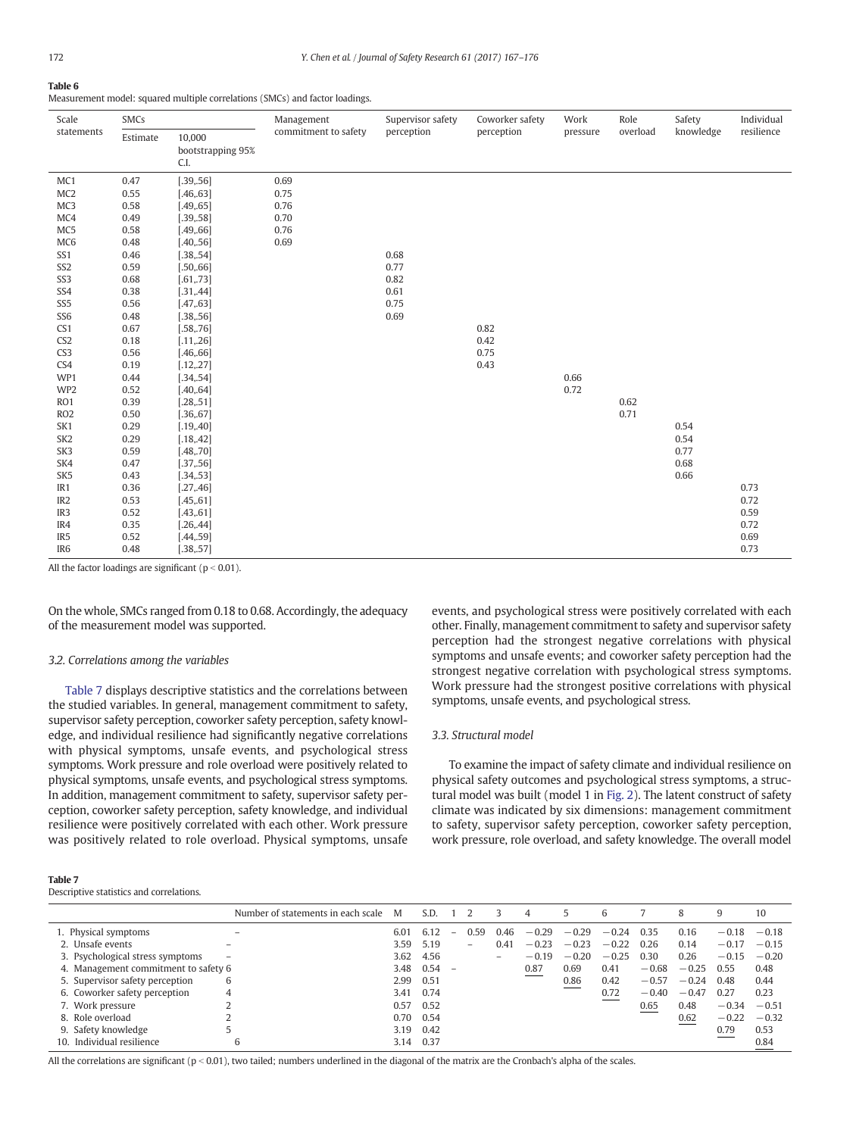#### <span id="page-5-0"></span>Table 6

Measurement model: squared multiple correlations (SMCs) and factor loadings.

| Scale           | SMCs     |                                     | Management           | Supervisor safety | Coworker safety | Work     | Role     | Safety    | Individual |
|-----------------|----------|-------------------------------------|----------------------|-------------------|-----------------|----------|----------|-----------|------------|
| statements      | Estimate | 10,000<br>bootstrapping 95%<br>C.I. | commitment to safety | perception        | perception      | pressure | overload | knowledge | resilience |
| MC1             | 0.47     | [.39, .56]                          | 0.69                 |                   |                 |          |          |           |            |
| MC <sub>2</sub> | 0.55     | [.46, .63]                          | 0.75                 |                   |                 |          |          |           |            |
| MC3             | 0.58     | [.49, .65]                          | 0.76                 |                   |                 |          |          |           |            |
| MC4             | 0.49     | [.39, .58]                          | 0.70                 |                   |                 |          |          |           |            |
| MC5             | 0.58     | [.49, .66]                          | 0.76                 |                   |                 |          |          |           |            |
| MC <sub>6</sub> | 0.48     | [.40, .56]                          | 0.69                 |                   |                 |          |          |           |            |
| SS1             | 0.46     | [.38, .54]                          |                      | 0.68              |                 |          |          |           |            |
| SS <sub>2</sub> | 0.59     | [.50, .66]                          |                      | 0.77              |                 |          |          |           |            |
| SS <sub>3</sub> | 0.68     | [.61, .73]                          |                      | 0.82              |                 |          |          |           |            |
| SS4             | 0.38     | [.31, .44]                          |                      | 0.61              |                 |          |          |           |            |
| SS <sub>5</sub> | 0.56     | [.47, .63]                          |                      | 0.75              |                 |          |          |           |            |
| SS <sub>6</sub> | 0.48     | [.38, .56]                          |                      | 0.69              |                 |          |          |           |            |
| CS1             | 0.67     | [.58, .76]                          |                      |                   | 0.82            |          |          |           |            |
| CS <sub>2</sub> | 0.18     | [.11, .26]                          |                      |                   | 0.42            |          |          |           |            |
| CS <sub>3</sub> | 0.56     | [.46, .66]                          |                      |                   | 0.75            |          |          |           |            |
| CS4             | 0.19     | [.12, .27]                          |                      |                   | 0.43            |          |          |           |            |
| WP1             | 0.44     | [.34, .54]                          |                      |                   |                 | 0.66     |          |           |            |
| WP <sub>2</sub> | 0.52     | [.40, .64]                          |                      |                   |                 | 0.72     |          |           |            |
| RO1             | 0.39     | [.28, .51]                          |                      |                   |                 |          | 0.62     |           |            |
| RO <sub>2</sub> | 0.50     | [.36, .67]                          |                      |                   |                 |          | 0.71     |           |            |
| SK1             | 0.29     | [.19, .40]                          |                      |                   |                 |          |          | 0.54      |            |
| SK <sub>2</sub> | 0.29     | [.18, .42]                          |                      |                   |                 |          |          | 0.54      |            |
| SK3             | 0.59     | [.48, .70]                          |                      |                   |                 |          |          | 0.77      |            |
| SK4             | 0.47     | [.37, .56]                          |                      |                   |                 |          |          | 0.68      |            |
| SK <sub>5</sub> | 0.43     | [.34, .53]                          |                      |                   |                 |          |          | 0.66      |            |
| IR1             | 0.36     | [.27, .46]                          |                      |                   |                 |          |          |           | 0.73       |
| IR <sub>2</sub> | 0.53     | [.45, .61]                          |                      |                   |                 |          |          |           | 0.72       |
| IR3             | 0.52     | [.43, .61]                          |                      |                   |                 |          |          |           | 0.59       |
| IR4             | 0.35     | [.26, .44]                          |                      |                   |                 |          |          |           | 0.72       |
| IR <sub>5</sub> | 0.52     | [.44, .59]                          |                      |                   |                 |          |          |           | 0.69       |
| IR6             | 0.48     | [.38, .57]                          |                      |                   |                 |          |          |           | 0.73       |

All the factor loadings are significant ( $p < 0.01$ ).

On the whole, SMCs ranged from 0.18 to 0.68. Accordingly, the adequacy of the measurement model was supported.

#### 3.2. Correlations among the variables

Table 7 displays descriptive statistics and the correlations between the studied variables. In general, management commitment to safety, supervisor safety perception, coworker safety perception, safety knowledge, and individual resilience had significantly negative correlations with physical symptoms, unsafe events, and psychological stress symptoms. Work pressure and role overload were positively related to physical symptoms, unsafe events, and psychological stress symptoms. In addition, management commitment to safety, supervisor safety perception, coworker safety perception, safety knowledge, and individual resilience were positively correlated with each other. Work pressure was positively related to role overload. Physical symptoms, unsafe events, and psychological stress were positively correlated with each other. Finally, management commitment to safety and supervisor safety perception had the strongest negative correlations with physical symptoms and unsafe events; and coworker safety perception had the strongest negative correlation with psychological stress symptoms. Work pressure had the strongest positive correlations with physical symptoms, unsafe events, and psychological stress.

#### 3.3. Structural model

To examine the impact of safety climate and individual resilience on physical safety outcomes and psychological stress symptoms, a structural model was built (model 1 in [Fig. 2](#page-6-0)). The latent construct of safety climate was indicated by six dimensions: management commitment to safety, supervisor safety perception, coworker safety perception, work pressure, role overload, and safety knowledge. The overall model

#### Table 7

Descriptive statistics and correlations.

|                                      | Number of statements in each scale | M    | S.D. |                          |      | $\overline{4}$ |         | 6       |         | 8       | 9       | 10      |
|--------------------------------------|------------------------------------|------|------|--------------------------|------|----------------|---------|---------|---------|---------|---------|---------|
| 1. Physical symptoms                 |                                    | 6.01 | 6.12 | 0.59                     | 0.46 | $-0.29$        | $-0.29$ | $-0.24$ | 0.35    | 0.16    | $-0.18$ | $-0.18$ |
| 2. Unsafe events                     |                                    | 3.59 | 5.19 | $\overline{\phantom{0}}$ | 0.41 | $-0.23$        | $-0.23$ | $-0.22$ | 0.26    | 0.14    | $-0.17$ | $-0.15$ |
| 3. Psychological stress symptoms     |                                    | 3.62 | 4.56 |                          | -    | $-0.19$        | $-0.20$ | $-0.25$ | 0.30    | 0.26    | $-0.15$ | $-0.20$ |
| 4. Management commitment to safety 6 |                                    | 3.48 | 0.54 |                          |      | 0.87           | 0.69    | 0.41    | $-0.68$ | $-0.25$ | 0.55    | 0.48    |
| 5. Supervisor safety perception      | 6                                  | 2.99 | 0.51 |                          |      |                | 0.86    | 0.42    | $-0.57$ | $-0.24$ | 0.48    | 0.44    |
| 6. Coworker safety perception        | 4                                  | 3.41 | 0.74 |                          |      |                |         | 0.72    | $-0.40$ | $-0.47$ | 0.27    | 0.23    |
| 7. Work pressure                     |                                    | 0.57 | 0.52 |                          |      |                |         |         | 0.65    | 0.48    | $-0.34$ | $-0.51$ |
| 8. Role overload                     |                                    | 0.70 | 0.54 |                          |      |                |         |         |         | 0.62    | $-0.22$ | $-0.32$ |
| 9. Safety knowledge                  |                                    | 3.19 | 0.42 |                          |      |                |         |         |         |         | 0.79    | 0.53    |
| 10. Individual resilience            | 6                                  | 3.14 | 0.37 |                          |      |                |         |         |         |         |         | 0.84    |

All the correlations are significant ( $p < 0.01$ ), two tailed; numbers underlined in the diagonal of the matrix are the Cronbach's alpha of the scales.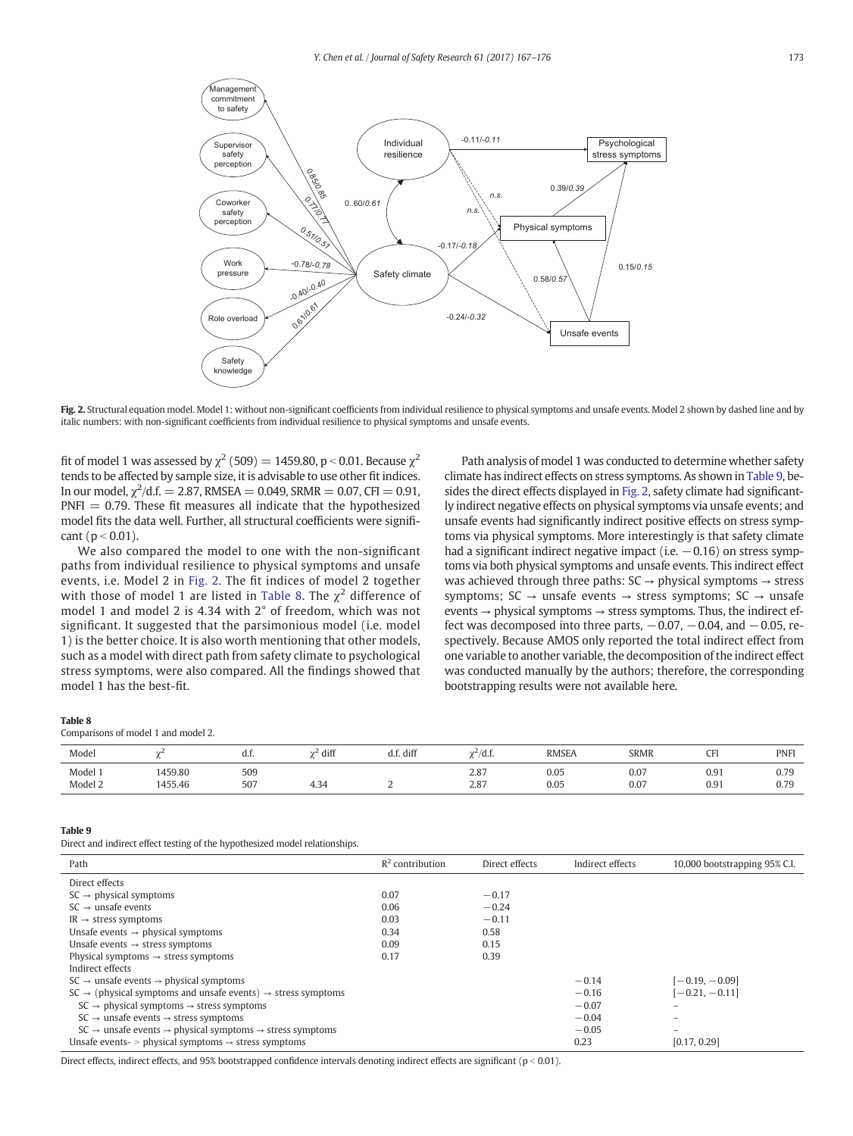<span id="page-6-0"></span>

Fig. 2. Structural equation model. Model 1: without non-significant coefficients from individual resilience to physical symptoms and unsafe events. Model 2 shown by dashed line and by italic numbers: with non-significant coefficients from individual resilience to physical symptoms and unsafe events.

fit of model 1 was assessed by  $\chi^2$  (509) = 1459.80, p < 0.01. Because  $\chi^2$ tends to be affected by sample size, it is advisable to use other fit indices. In our model,  $\chi^2/{\rm d.f.} = 2.87$ , RMSEA  $=$  0.049, SRMR  $=$  0.07, CFI  $=$  0.91,  $PNFI = 0.79$ . These fit measures all indicate that the hypothesized model fits the data well. Further, all structural coefficients were significant ( $p < 0.01$ ).

We also compared the model to one with the non-significant paths from individual resilience to physical symptoms and unsafe events, i.e. Model 2 in Fig. 2. The fit indices of model 2 together with those of model 1 are listed in Table 8. The  $\chi^2$  difference of model 1 and model 2 is 4.34 with 2° of freedom, which was not significant. It suggested that the parsimonious model (i.e. model 1) is the better choice. It is also worth mentioning that other models, such as a model with direct path from safety climate to psychological stress symptoms, were also compared. All the findings showed that model 1 has the best-fit.

Path analysis of model 1 was conducted to determine whether safety climate has indirect effects on stress symptoms. As shown in Table 9, besides the direct effects displayed in Fig. 2, safety climate had significantly indirect negative effects on physical symptoms via unsafe events; and unsafe events had significantly indirect positive effects on stress symptoms via physical symptoms. More interestingly is that safety climate had a significant indirect negative impact (i.e.  $-0.16$ ) on stress symptoms via both physical symptoms and unsafe events. This indirect effect was achieved through three paths:  $SC \rightarrow physical$  symptoms  $\rightarrow$  stress symptoms;  $SC \rightarrow$  unsafe events  $\rightarrow$  stress symptoms;  $SC \rightarrow$  unsafe events → physical symptoms → stress symptoms. Thus, the indirect effect was decomposed into three parts,  $-0.07, -0.04$ , and  $-0.05$ , respectively. Because AMOS only reported the total indirect effect from one variable to another variable, the decomposition of the indirect effect was conducted manually by the authors; therefore, the corresponding bootstrapping results were not available here.

#### Table 8

Comparisons of model 1 and model 2.

| Model              |                              | u.i.       | diff                | . diff<br>u.i. | .<br>/ u.i.  | <b>RMSEA</b>      | <b>SRMR</b>       | $\sim$ respectively.<br>ີ້ | <b>PNFI</b>            |
|--------------------|------------------------------|------------|---------------------|----------------|--------------|-------------------|-------------------|----------------------------|------------------------|
| Model 1<br>Model 2 | 1459.80<br>.<br>1455.46<br>. | 509<br>507 | $\sqrt{2}$<br>$+34$ |                | 2.87<br>2.87 | 0.05<br>0.05<br>. | 0.07<br>0.07<br>. | 0.91<br>0.91<br>.          | 0.79<br>በ 70<br>U. I J |

#### Table 9

Direct and indirect effect testing of the hypothesized model relationships.

| Path                                                                                         | $R^2$ contribution | Direct effects | Indirect effects | 10,000 bootstrapping 95% C.I. |
|----------------------------------------------------------------------------------------------|--------------------|----------------|------------------|-------------------------------|
| Direct effects                                                                               |                    |                |                  |                               |
| $SC \rightarrow physical symptoms$                                                           | 0.07               | $-0.17$        |                  |                               |
| $SC \rightarrow$ unsafe events                                                               | 0.06               | $-0.24$        |                  |                               |
| $IR \rightarrow$ stress symptoms                                                             | 0.03               | $-0.11$        |                  |                               |
| Unsafe events $\rightarrow$ physical symptoms                                                | 0.34               | 0.58           |                  |                               |
| Unsafe events $\rightarrow$ stress symptoms                                                  | 0.09               | 0.15           |                  |                               |
| Physical symptoms $\rightarrow$ stress symptoms                                              | 0.17               | 0.39           |                  |                               |
| Indirect effects                                                                             |                    |                |                  |                               |
| $SC \rightarrow$ unsafe events $\rightarrow$ physical symptoms                               |                    |                | $-0.14$          | $[-0.19, -0.09]$              |
| $SC \rightarrow$ (physical symptoms and unsafe events) $\rightarrow$ stress symptoms         |                    |                | $-0.16$          | $[-0.21, -0.11]$              |
| $SC \rightarrow physical symptoms \rightarrow stress symptoms$                               |                    |                | $-0.07$          |                               |
| $SC \rightarrow$ unsafe events $\rightarrow$ stress symptoms                                 |                    |                | $-0.04$          |                               |
| $SC \rightarrow$ unsafe events $\rightarrow$ physical symptoms $\rightarrow$ stress symptoms |                    |                | $-0.05$          |                               |
| Unsafe events- $>$ physical symptoms $\rightarrow$ stress symptoms                           |                    |                | 0.23             | [0.17, 0.29]                  |

Direct effects, indirect effects, and 95% bootstrapped confidence intervals denoting indirect effects are significant ( $p < 0.01$ ).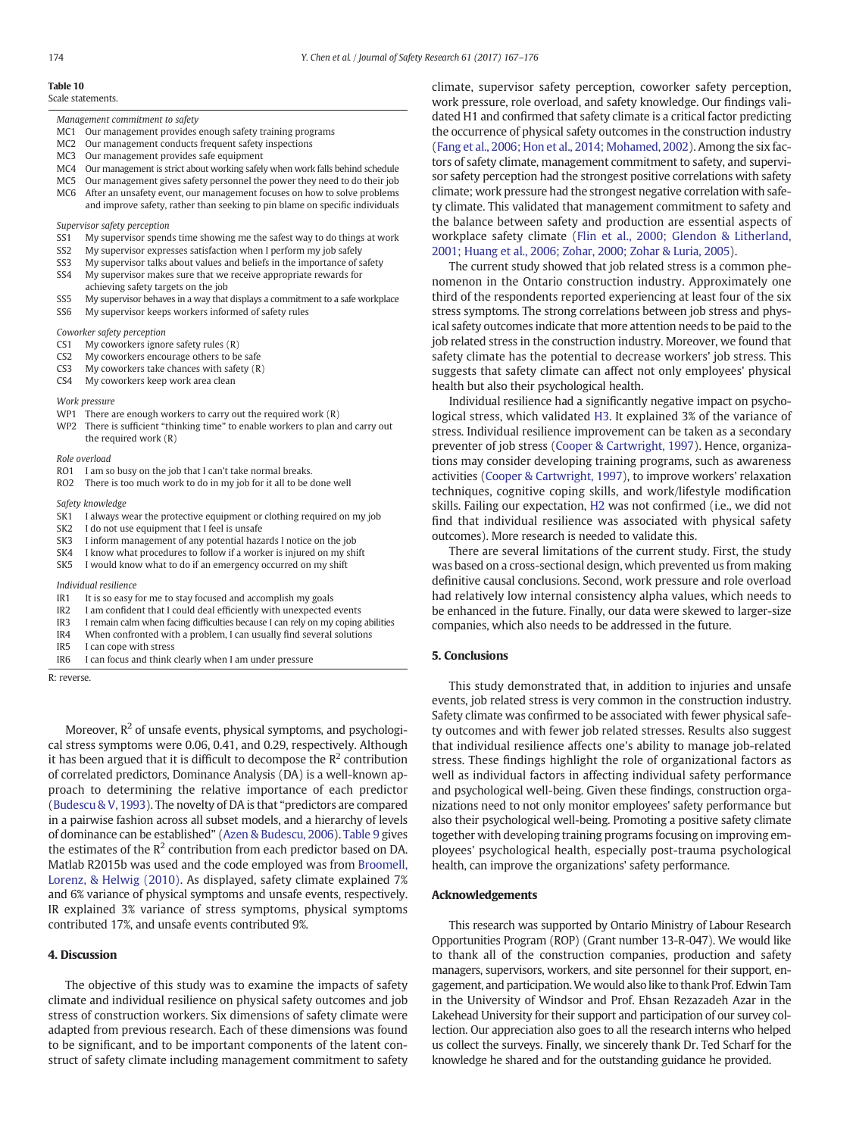#### <span id="page-7-0"></span>Table 10

Scale statements.

#### Management commitment to safety

- MC1 Our management provides enough safety training programs<br>MC2 Our management conducts frequent safety inspections
- Our management conducts frequent safety inspections
- MC3 Our management provides safe equipment
- MC4 Our management is strict about working safely when work falls behind schedule
- MC5 Our management gives safety personnel the power they need to do their job
- MC6 After an unsafety event, our management focuses on how to solve problems and improve safety, rather than seeking to pin blame on specific individuals

Supervisor safety perception

- SS1 My supervisor spends time showing me the safest way to do things at work
- SS2 My supervisor expresses satisfaction when I perform my job safely
- SS3 My supervisor talks about values and beliefs in the importance of safety SS4 My supervisor makes sure that we receive appropriate rewards for
- achieving safety targets on the job
- SS5 My supervisor behaves in a way that displays a commitment to a safe workplace SS6 My supervisor keeps workers informed of safety rules

Coworker safety perception

- CS1 My coworkers ignore safety rules (R)
- CS2 My coworkers encourage others to be safe
- CS3 My coworkers take chances with safety (R)
- CS4 My coworkers keep work area clean

#### Work pressure

- WP1 There are enough workers to carry out the required work (R)
- WP2 There is sufficient "thinking time" to enable workers to plan and carry out the required work (R)

#### Role overload

- RO1 I am so busy on the job that I can't take normal breaks.
- RO2 There is too much work to do in my job for it all to be done well

#### Safety knowledge

- SK1 I always wear the protective equipment or clothing required on my job
- SK2 I do not use equipment that I feel is unsafe
- SK3 I inform management of any potential hazards I notice on the job
- SK4 I know what procedures to follow if a worker is injured on my shift
- SK5 I would know what to do if an emergency occurred on my shift

#### Individual resilience

- IR1 It is so easy for me to stay focused and accomplish my goals
- IR2 I am confident that I could deal efficiently with unexpected events
- IR3 I remain calm when facing difficulties because I can rely on my coping abilities
- IR4 When confronted with a problem, I can usually find several solutions
- IR5 I can cope with stress<br>IR6 I can focus and think
- I can focus and think clearly when I am under pressure

R: reverse.

Moreover,  $R^2$  of unsafe events, physical symptoms, and psychological stress symptoms were 0.06, 0.41, and 0.29, respectively. Although it has been argued that it is difficult to decompose the  $\mathbb{R}^2$  contribution of correlated predictors, Dominance Analysis (DA) is a well-known approach to determining the relative importance of each predictor [\(Budescu & V, 1993\)](#page-8-0). The novelty of DA is that "predictors are compared in a pairwise fashion across all subset models, and a hierarchy of levels of dominance can be established" ([Azen & Budescu, 2006](#page-8-0)). [Table 9](#page-6-0) gives the estimates of the  $R^2$  contribution from each predictor based on DA. Matlab R2015b was used and the code employed was from [Broomell,](#page-8-0) [Lorenz, & Helwig \(2010\).](#page-8-0) As displayed, safety climate explained 7% and 6% variance of physical symptoms and unsafe events, respectively. IR explained 3% variance of stress symptoms, physical symptoms contributed 17%, and unsafe events contributed 9%.

#### 4. Discussion

The objective of this study was to examine the impacts of safety climate and individual resilience on physical safety outcomes and job stress of construction workers. Six dimensions of safety climate were adapted from previous research. Each of these dimensions was found to be significant, and to be important components of the latent construct of safety climate including management commitment to safety climate, supervisor safety perception, coworker safety perception, work pressure, role overload, and safety knowledge. Our findings validated H1 and confirmed that safety climate is a critical factor predicting the occurrence of physical safety outcomes in the construction industry [\(Fang et al., 2006; Hon et al., 2014; Mohamed, 2002\)](#page-8-0). Among the six factors of safety climate, management commitment to safety, and supervisor safety perception had the strongest positive correlations with safety climate; work pressure had the strongest negative correlation with safety climate. This validated that management commitment to safety and the balance between safety and production are essential aspects of workplace safety climate [\(Flin et al., 2000; Glendon & Litherland,](#page-8-0) [2001; Huang et al., 2006; Zohar, 2000; Zohar & Luria, 2005\)](#page-8-0).

The current study showed that job related stress is a common phenomenon in the Ontario construction industry. Approximately one third of the respondents reported experiencing at least four of the six stress symptoms. The strong correlations between job stress and physical safety outcomes indicate that more attention needs to be paid to the job related stress in the construction industry. Moreover, we found that safety climate has the potential to decrease workers' job stress. This suggests that safety climate can affect not only employees' physical health but also their psychological health.

Individual resilience had a significantly negative impact on psychological stress, which validated [H3.](#page-1-0) It explained 3% of the variance of stress. Individual resilience improvement can be taken as a secondary preventer of job stress [\(Cooper & Cartwright, 1997\)](#page-8-0). Hence, organizations may consider developing training programs, such as awareness activities [\(Cooper & Cartwright, 1997\)](#page-8-0), to improve workers' relaxation techniques, cognitive coping skills, and work/lifestyle modification skills. Failing our expectation, [H2](#page-1-0) was not confirmed (i.e., we did not find that individual resilience was associated with physical safety outcomes). More research is needed to validate this.

There are several limitations of the current study. First, the study was based on a cross-sectional design, which prevented us from making definitive causal conclusions. Second, work pressure and role overload had relatively low internal consistency alpha values, which needs to be enhanced in the future. Finally, our data were skewed to larger-size companies, which also needs to be addressed in the future.

#### 5. Conclusions

This study demonstrated that, in addition to injuries and unsafe events, job related stress is very common in the construction industry. Safety climate was confirmed to be associated with fewer physical safety outcomes and with fewer job related stresses. Results also suggest that individual resilience affects one's ability to manage job-related stress. These findings highlight the role of organizational factors as well as individual factors in affecting individual safety performance and psychological well-being. Given these findings, construction organizations need to not only monitor employees' safety performance but also their psychological well-being. Promoting a positive safety climate together with developing training programs focusing on improving employees' psychological health, especially post-trauma psychological health, can improve the organizations' safety performance.

#### Acknowledgements

This research was supported by Ontario Ministry of Labour Research Opportunities Program (ROP) (Grant number 13-R-047). We would like to thank all of the construction companies, production and safety managers, supervisors, workers, and site personnel for their support, engagement, and participation.We would also like to thank Prof. Edwin Tam in the University of Windsor and Prof. Ehsan Rezazadeh Azar in the Lakehead University for their support and participation of our survey collection. Our appreciation also goes to all the research interns who helped us collect the surveys. Finally, we sincerely thank Dr. Ted Scharf for the knowledge he shared and for the outstanding guidance he provided.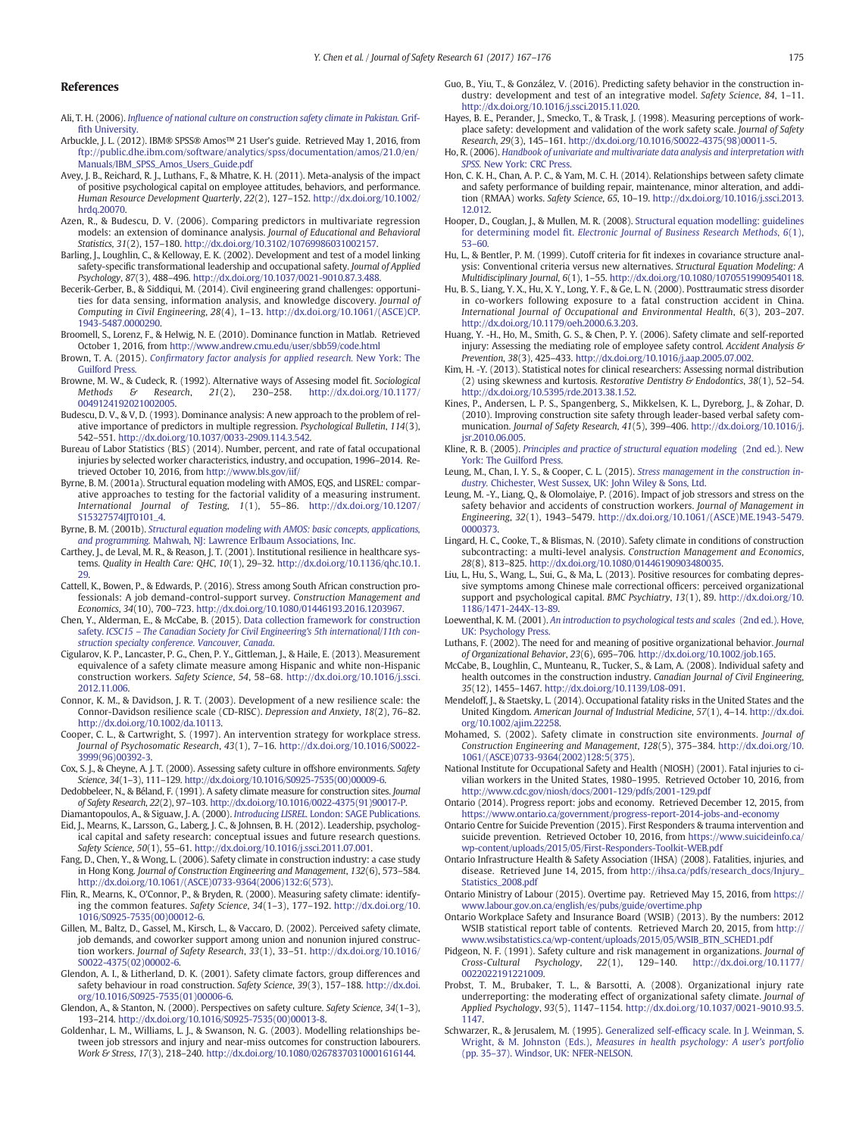#### <span id="page-8-0"></span>References

- Ali, T. H. (2006). Infl[uence of national culture on construction safety climate in Pakistan.](http://refhub.elsevier.com/S0022-4375(17)30151-2/rf0005) Griffi[th University.](http://refhub.elsevier.com/S0022-4375(17)30151-2/rf0005)
- Arbuckle, J. L. (2012). IBM® SPSS® Amos™ 21 User's guide. Retrieved May 1, 2016, from [ftp://public.dhe.ibm.com/software/analytics/spss/documentation/amos/21.0/en/](ftp://public.dhe.ibm.com/software/analytics/spss/documentation/amos/21.0/en/Manuals/IBM_SPSS_Amos_Users_Guide.pdf) [Manuals/IBM\\_SPSS\\_Amos\\_Users\\_Guide.pdf](ftp://public.dhe.ibm.com/software/analytics/spss/documentation/amos/21.0/en/Manuals/IBM_SPSS_Amos_Users_Guide.pdf)
- Avey, J. B., Reichard, R. J., Luthans, F., & Mhatre, K. H. (2011). Meta-analysis of the impact of positive psychological capital on employee attitudes, behaviors, and performance. Human Resource Development Quarterly, 22(2), 127–152. http://dx.doi.org[/10.1002/](http://dx.doi.org/10.1002/hrdq.20070) hrda.20070.
- Azen, R., & Budescu, D. V. (2006). Comparing predictors in multivariate regression models: an extension of dominance analysis. Journal of Educational and Behavioral Statistics, 31(2), 157–180. http://dx.doi.org/[10.3102/10769986031002157.](http://dx.doi.org/10.3102/10769986031002157)
- Barling, J., Loughlin, C., & Kelloway, E. K. (2002). Development and test of a model linking safety-specific transformational leadership and occupational safety. Journal of Applied Psychology, 87(3), 488–496. http://dx.doi.org/[10.1037/0021-9010.87.3.488.](http://dx.doi.org/10.1037/0021-9010.87.3.488)
- Becerik-Gerber, B., & Siddiqui, M. (2014). Civil engineering grand challenges: opportunities for data sensing, information analysis, and knowledge discovery. Journal of Computing in Civil Engineering, 28(4), 1–13. http://dx.doi.org/[10.1061/\(ASCE\)CP.](http://dx.doi.org/10.1061/(ASCE)CP.1943-5487.0000290) [1943-5487.0000290.](http://dx.doi.org/10.1061/(ASCE)CP.1943-5487.0000290)
- Broomell, S., Lorenz, F., & Helwig, N. E. (2010). Dominance function in Matlab. Retrieved October 1, 2016, from <http://www.andrew.cmu.edu/user/sbb59/code.html>
- Brown, T. A. (2015). Confi[rmatory factor analysis for applied research.](http://refhub.elsevier.com/S0022-4375(17)30151-2/rf0040) New York: The [Guilford Press.](http://refhub.elsevier.com/S0022-4375(17)30151-2/rf0040)
- Browne, M. W., & Cudeck, R. (1992). Alternative ways of Assesing model fit. Sociological Methods & Research, 21(2), 230–258. http://dx.doi.org/10.1177/  $http://dx.doi.org/10.1177/$  $http://dx.doi.org/10.1177/$ [0049124192021002005](http://dx.doi.org/10.1177/0049124192021002005).
- Budescu, D. V., & V, D. (1993). Dominance analysis: A new approach to the problem of relative importance of predictors in multiple regression. Psychological Bulletin, 114(3), 542–551. http://dx.doi.org[/10.1037/0033-2909.114.3.542](http://dx.doi.org/10.1037/0033-2909.114.3.542).
- Bureau of Labor Statistics (BLS) (2014). Number, percent, and rate of fatal occupational injuries by selected worker characteristics, industry, and occupation, 1996–2014. Retrieved October 10, 2016, from <http://www.bls.gov/iif/>
- Byrne, B. M. (2001a). Structural equation modeling with AMOS, EQS, and LISREL: comparative approaches to testing for the factorial validity of a measuring instrument.<br>International Journal of Testing,  $1(1)$ , 55-86. http://dx.doi.org/10.1207/ Testing, 1(1), 55–86. http://dx.doi.org[/10.1207/](http://dx.doi.org/10.1207/S15327574IJT0101_4) [S15327574IJT0101\\_4](http://dx.doi.org/10.1207/S15327574IJT0101_4).
- Byrne, B. M. (2001b). [Structural equation modeling with AMOS: basic concepts, applications,](http://refhub.elsevier.com/S0022-4375(17)30151-2/rf0065) and programming. [Mahwah, NJ: Lawrence Erlbaum Associations, Inc.](http://refhub.elsevier.com/S0022-4375(17)30151-2/rf0065)
- Carthey, J., de Leval, M. R., & Reason, J. T. (2001). Institutional resilience in healthcare systems. Quality in Health Care: QHC, 10(1), 29–32. http://dx.doi.org[/10.1136/qhc.10.1.](http://dx.doi.org/10.1136/qhc.10.1.29) [29.](http://dx.doi.org/10.1136/qhc.10.1.29)
- Cattell, K., Bowen, P., & Edwards, P. (2016). Stress among South African construction professionals: A job demand-control-support survey. Construction Management and Economics, 34(10), 700–723. http://dx.doi.org[/10.1080/01446193.2016.1203967](http://dx.doi.org/10.1080/01446193.2016.1203967).
- Chen, Y., Alderman, E., & McCabe, B. (2015). [Data collection framework for construction](http://refhub.elsevier.com/S0022-4375(17)30151-2/rf0080) safety. ICSC15 - [The Canadian Society for Civil Engineering's 5th international/11th con](http://refhub.elsevier.com/S0022-4375(17)30151-2/rf0080)[struction specialty conference. Vancouver, Canada](http://refhub.elsevier.com/S0022-4375(17)30151-2/rf0080).
- Cigularov, K. P., Lancaster, P. G., Chen, P. Y., Gittleman, J., & Haile, E. (2013). Measurement equivalence of a safety climate measure among Hispanic and white non-Hispanic construction workers. Safety Science, 54, 58–68. http://dx.doi.org/[10.1016/j.ssci.](http://dx.doi.org/10.1016/j.ssci.2012.11.006) [2012.11.006](http://dx.doi.org/10.1016/j.ssci.2012.11.006).
- Connor, K. M., & Davidson, J. R. T. (2003). Development of a new resilience scale: the Connor-Davidson resilience scale (CD-RISC). Depression and Anxiety, 18(2), 76–82. http://dx.doi.org[/10.1002/da.10113](http://dx.doi.org/10.1002/da.10113).
- Cooper, C. L., & Cartwright, S. (1997). An intervention strategy for workplace stress. Journal of Psychosomatic Research, 43(1), 7–16. http://dx.doi.org/[10.1016/S0022-](http://dx.doi.org/10.1016/S0022-3999(96)00392-3) [3999\(96\)00392-3](http://dx.doi.org/10.1016/S0022-3999(96)00392-3).
- Cox, S. J., & Cheyne, A. J. T. (2000). Assessing safety culture in offshore environments. Safety Science, 34(1–3), 111–129. http://dx.doi.org[/10.1016/S0925-7535\(00\)00009-6](http://dx.doi.org/10.1016/S0925-7535(00)00009-6).
- Dedobbeleer, N., & Béland, F. (1991). A safety climate measure for construction sites. Journal of Safety Research, 22(2), 97–103. http://dx.doi.org/[10.1016/0022-4375\(91\)90017-P](http://dx.doi.org/10.1016/0022-4375(91)90017-P).
- Diamantopoulos, A., & Siguaw, J. A. (2000). Introducing LISREL. [London: SAGE Publications.](http://refhub.elsevier.com/S0022-4375(17)30151-2/rf0110)
- Eid, J., Mearns, K., Larsson, G., Laberg, J. C., & Johnsen, B. H. (2012). Leadership, psychological capital and safety research: conceptual issues and future research questions. Safety Science, 50(1), 55–61. http://dx.doi.org/[10.1016/j.ssci.2011.07.001.](http://dx.doi.org/10.1016/j.ssci.2011.07.001)
- Fang, D., Chen, Y., & Wong, L. (2006). Safety climate in construction industry: a case study in Hong Kong. Journal of Construction Engineering and Management, 132(6), 573–584. http://dx.doi.org[/10.1061/\(ASCE\)0733-9364\(2006\)132:6\(573\)](http://dx.doi.org/10.1061/(ASCE)0733-9364(2006)132:6(573)).
- Flin, R., Mearns, K., O'Connor, P., & Bryden, R. (2000). Measuring safety climate: identifying the common features. Safety Science, 34(1–3), 177–192. http://dx.doi.org/[10.](http://dx.doi.org/10.1016/S0925-7535(00)00012-6) [1016/S0925-7535\(00\)00012-6](http://dx.doi.org/10.1016/S0925-7535(00)00012-6).
- Gillen, M., Baltz, D., Gassel, M., Kirsch, L., & Vaccaro, D. (2002). Perceived safety climate, job demands, and coworker support among union and nonunion injured construction workers. Journal of Safety Research, 33(1), 33–51. http://dx.doi.org/[10.1016/](http://dx.doi.org/10.1016/S0022-4375(02)00002-6) [S0022-4375\(02\)00002-6](http://dx.doi.org/10.1016/S0022-4375(02)00002-6).
- Glendon, A. I., & Litherland, D. K. (2001). Safety climate factors, group differences and safety behaviour in road construction. Safety Science, 39(3), 157–188. http://dx.doi. org[/10.1016/S0925-7535\(01\)00006-6.](http://dx.doi.org/10.1016/S0925-7535(01)00006-6)
- Glendon, A., & Stanton, N. (2000). Perspectives on safety culture. Safety Science, 34(1–3), 193–214. http://dx.doi.org[/10.1016/S0925-7535\(00\)00013-8.](http://dx.doi.org/10.1016/S0925-7535(00)00013-8)
- Goldenhar, L. M., Williams, L. J., & Swanson, N. G. (2003). Modelling relationships between job stressors and injury and near-miss outcomes for construction labourers. Work & Stress, 17(3), 218–240. http://dx.doi.org/[10.1080/02678370310001616144.](http://dx.doi.org/10.1080/02678370310001616144)
- Guo, B., Yiu, T., & González, V. (2016). Predicting safety behavior in the construction industry: development and test of an integrative model. Safety Science, 84, 1–11. http://dx.doi.org[/10.1016/j.ssci.2015.11.020](http://dx.doi.org/10.1016/j.ssci.2015.11.020).
- Hayes, B. E., Perander, J., Smecko, T., & Trask, J. (1998). Measuring perceptions of workplace safety: development and validation of the work safety scale. Journal of Safety Research, 29(3), 145–161. http://dx.doi.org/[10.1016/S0022-4375\(98\)00011-5](http://dx.doi.org/10.1016/S0022-4375(98)00011-5).
- Ho, R. (2006). [Handbook of univariate and multivariate data analysis and interpretation with](http://refhub.elsevier.com/S0022-4375(17)30151-2/rf0160) SPSS. [New York: CRC Press.](http://refhub.elsevier.com/S0022-4375(17)30151-2/rf0160)
- Hon, C. K. H., Chan, A. P. C., & Yam, M. C. H. (2014). Relationships between safety climate and safety performance of building repair, maintenance, minor alteration, and addition (RMAA) works. Safety Science, 65, 10–19. http://dx.doi.org[/10.1016/j.ssci.2013.](http://dx.doi.org/10.1016/j.ssci.2013.12.012) [12.012.](http://dx.doi.org/10.1016/j.ssci.2013.12.012)
- Hooper, D., Couglan, J., & Mullen, M. R. (2008). [Structural equation modelling: guidelines](http://refhub.elsevier.com/S0022-4375(17)30151-2/rf0170) for determining model fit. [Electronic Journal of Business Research Methods](http://refhub.elsevier.com/S0022-4375(17)30151-2/rf0170), 6(1), 53–[60.](http://refhub.elsevier.com/S0022-4375(17)30151-2/rf0170)
- Hu, L., & Bentler, P. M. (1999). Cutoff criteria for fit indexes in covariance structure analysis: Conventional criteria versus new alternatives. Structural Equation Modeling: A Multidisciplinary Journal, 6(1), 1–55. http://dx.doi.org/[10.1080/10705519909540118](http://dx.doi.org/10.1080/10705519909540118).
- Hu, B. S., Liang, Y. X., Hu, X. Y., Long, Y. F., & Ge, L. N. (2000). Posttraumatic stress disorder in co-workers following exposure to a fatal construction accident in China. International Journal of Occupational and Environmental Health, 6(3), 203–207. http://dx.doi.org[/10.1179/oeh.2000.6.3.203](http://dx.doi.org/10.1179/oeh.2000.6.3.203).
- Huang, Y. -H., Ho, M., Smith, G. S., & Chen, P. Y. (2006). Safety climate and self-reported injury: Assessing the mediating role of employee safety control. Accident Analysis & Prevention, 38(3), 425–433. http://dx.doi.org/[10.1016/j.aap.2005.07.002.](http://dx.doi.org/10.1016/j.aap.2005.07.002)
- Kim, H. -Y. (2013). Statistical notes for clinical researchers: Assessing normal distribution (2) using skewness and kurtosis. Restorative Dentistry & Endodontics, 38(1), 52–54. http://dx.doi.org[/10.5395/rde.2013.38.1.52.](http://dx.doi.org/10.5395/rde.2013.38.1.52)
- Kines, P., Andersen, L. P. S., Spangenberg, S., Mikkelsen, K. L., Dyreborg, J., & Zohar, D. (2010). Improving construction site safety through leader-based verbal safety communication. Journal of Safety Research, 41(5), 399–406. http://dx.doi.org/[10.1016/j.](http://dx.doi.org/10.1016/j.jsr.2010.06.005) [jsr.2010.06.005.](http://dx.doi.org/10.1016/j.jsr.2010.06.005)
- Kline, R. B. (2005). [Principles and practice of structural equation modeling](http://refhub.elsevier.com/S0022-4375(17)30151-2/rf0200) (2nd ed.). New [York: The Guilford Press.](http://refhub.elsevier.com/S0022-4375(17)30151-2/rf0200)
- Leung, M., Chan, I. Y. S., & Cooper, C. L. (2015). [Stress management in the construction in](http://refhub.elsevier.com/S0022-4375(17)30151-2/rf0205)dustry. [Chichester, West Sussex, UK: John Wiley & Sons, Ltd.](http://refhub.elsevier.com/S0022-4375(17)30151-2/rf0205)
- Leung, M. -Y., Liang, Q., & Olomolaiye, P. (2016). Impact of job stressors and stress on the safety behavior and accidents of construction workers. Journal of Management in Engineering, 32(1), 1943–5479. http://dx.doi.org[/10.1061/\(ASCE\)ME.1943-5479.](http://dx.doi.org/10.1061/(ASCE)ME.1943-5479.0000373) [0000373](http://dx.doi.org/10.1061/(ASCE)ME.1943-5479.0000373).
- Lingard, H. C., Cooke, T., & Blismas, N. (2010). Safety climate in conditions of construction subcontracting: a multi-level analysis. Construction Management and Economics, 28(8), 813–825. http://dx.doi.org/[10.1080/01446190903480035.](http://dx.doi.org/10.1080/01446190903480035)
- Liu, L., Hu, S., Wang, L., Sui, G., & Ma, L. (2013). Positive resources for combating depressive symptoms among Chinese male correctional officers: perceived organizational support and psychological capital. BMC Psychiatry, 13(1), 89. http://dx.doi.org/[10.](http://dx.doi.org/10.1186/1471-244X-13-89) [1186/1471-244X-13-89.](http://dx.doi.org/10.1186/1471-244X-13-89)
- Loewenthal, K. M. (2001). [An introduction to psychological tests and scales](http://refhub.elsevier.com/S0022-4375(17)30151-2/rf0225) (2nd ed.). Hove, [UK: Psychology Press.](http://refhub.elsevier.com/S0022-4375(17)30151-2/rf0225)
- Luthans, F. (2002). The need for and meaning of positive organizational behavior. Journal of Organizational Behavior, 23(6), 695–706. http://dx.doi.org[/10.1002/job.165](http://dx.doi.org/10.1002/job.165).
- McCabe, B., Loughlin, C., Munteanu, R., Tucker, S., & Lam, A. (2008). Individual safety and health outcomes in the construction industry. Canadian Journal of Civil Engineering, 35(12), 1455–1467. http://dx.doi.org[/10.1139/L08-091](http://dx.doi.org/10.1139/L08-091).
- Mendeloff, J., & Staetsky, L. (2014). Occupational fatality risks in the United States and the United Kingdom. American Journal of Industrial Medicine, 57(1), 4–14. http://dx.doi. org[/10.1002/ajim.22258.](http://dx.doi.org/10.1002/ajim.22258)
- Mohamed, S. (2002). Safety climate in construction site environments. Journal of Construction Engineering and Management, 128(5), 375–384. http://dx.doi.org/[10.](http://dx.doi.org/10.1061/(ASCE)0733-9364(2002)128:5(375)) [1061/\(ASCE\)0733-9364\(2002\)128:5\(375\).](http://dx.doi.org/10.1061/(ASCE)0733-9364(2002)128:5(375))
- National Institute for Occupational Safety and Health (NIOSH) (2001). Fatal injuries to civilian workers in the United States, 1980–1995. Retrieved October 10, 2016, from <http://www.cdc.gov/niosh/docs/2001-129/pdfs/2001-129.pdf>
- Ontario (2014). Progress report: jobs and economy. Retrieved December 12, 2015, from <https://www.ontario.ca/government/progress-report-2014-jobs-and-economy>
- Ontario Centre for Suicide Prevention (2015). First Responders & trauma intervention and suicide prevention. Retrieved October 10, 2016, from [https://www.suicideinfo.ca/](https://www.suicideinfo.ca/wp-content/uploads/2015/05/First-Responders-Toolkit-WEB.pdf) [wp-content/uploads/2015/05/First-Responders-Toolkit-WEB.pdf](https://www.suicideinfo.ca/wp-content/uploads/2015/05/First-Responders-Toolkit-WEB.pdf)
- Ontario Infrastructure Health & Safety Association (IHSA) (2008). Fatalities, injuries, and disease. Retrieved June 14, 2015, from [http://ihsa.ca/pdfs/research\\_docs/Injury\\_](http://ihsa.ca/pdfs/research_docs/Injury_Statistics_2008.pdf) [Statistics\\_2008.pdf](http://ihsa.ca/pdfs/research_docs/Injury_Statistics_2008.pdf)
- Ontario Ministry of Labour (2015). Overtime pay. Retrieved May 15, 2016, from [https://](https://www.labour.gov.on.ca/english/es/pubs/guide/overtime.php) [www.labour.gov.on.ca/english/es/pubs/guide/overtime.php](https://www.labour.gov.on.ca/english/es/pubs/guide/overtime.php)
- Ontario Workplace Safety and Insurance Board (WSIB) (2013). By the numbers: 2012 WSIB statistical report table of contents. Retrieved March 20, 2015, from [http://](http://www.wsibstatistics.ca/wp-content/uploads/2015/05/WSIB_BTN_SCHED1.pdf) [www.wsibstatistics.ca/wp-content/uploads/2015/05/WSIB\\_BTN\\_SCHED1.pdf](http://www.wsibstatistics.ca/wp-content/uploads/2015/05/WSIB_BTN_SCHED1.pdf)
- Pidgeon, N. F. (1991). Safety culture and risk management in organizations. Journal of Cross-Cultural Psychology, 22(1), 129–140. http://dx.doi.org[/10.1177/](http://dx.doi.org/10.1177/0022022191221009) [0022022191221009](http://dx.doi.org/10.1177/0022022191221009).
- Probst, T. M., Brubaker, T. L., & Barsotti, A. (2008). Organizational injury rate underreporting: the moderating effect of organizational safety climate. Journal of Applied Psychology, 93(5), 1147–1154. http://dx.doi.org[/10.1037/0021-9010.93.5.](http://dx.doi.org/10.1037/0021-9010.93.5.1147) [1147.](http://dx.doi.org/10.1037/0021-9010.93.5.1147)
- Schwarzer, R., & Jerusalem, M. (1995). Generalized self-effi[cacy scale. In J. Weinman, S.](http://refhub.elsevier.com/S0022-4375(17)30151-2/rf0285) Wright, & M. Johnston (Eds.), [Measures in health psychology: A user's portfolio](http://refhub.elsevier.com/S0022-4375(17)30151-2/rf0285) (pp. 35–[37\). Windsor, UK: NFER-NELSON.](http://refhub.elsevier.com/S0022-4375(17)30151-2/rf0285)